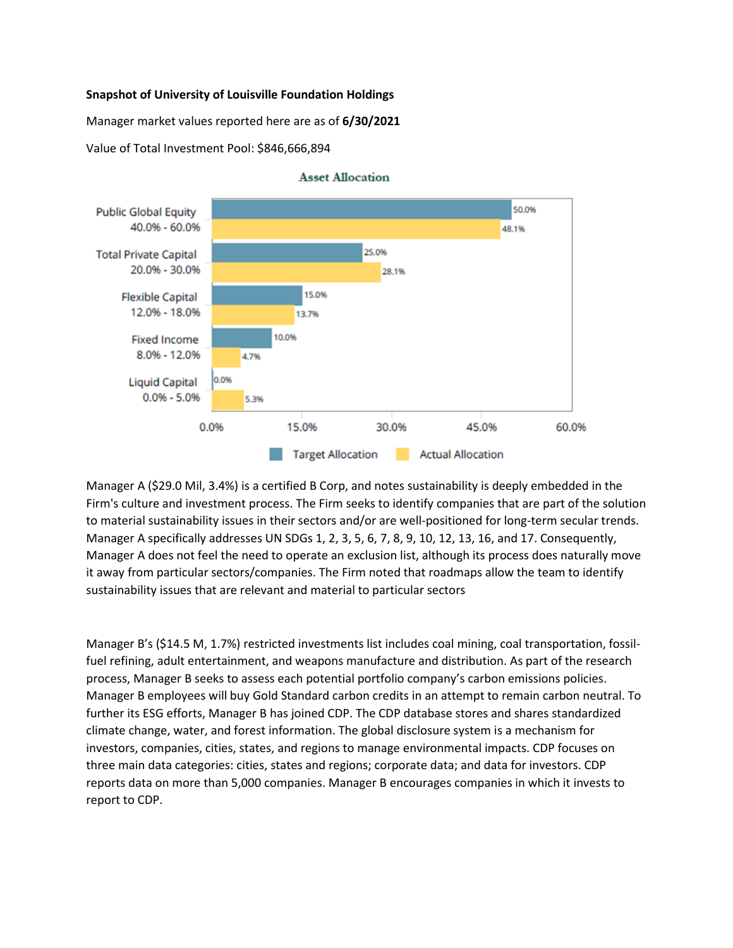## **Snapshot of University of Louisville Foundation Holdings**

Manager market values reported here are as of **6/30/2021**

Value of Total Investment Pool: \$846,666,894



## **Asset Allocation**

Manager A (\$29.0 Mil, 3.4%) is a certified B Corp, and notes sustainability is deeply embedded in the Firm's culture and investment process. The Firm seeks to identify companies that are part of the solution to material sustainability issues in their sectors and/or are well-positioned for long-term secular trends. Manager A specifically addresses UN SDGs 1, 2, 3, 5, 6, 7, 8, 9, 10, 12, 13, 16, and 17. Consequently, Manager A does not feel the need to operate an exclusion list, although its process does naturally move it away from particular sectors/companies. The Firm noted that roadmaps allow the team to identify sustainability issues that are relevant and material to particular sectors

Manager B's (\$14.5 M, 1.7%) restricted investments list includes coal mining, coal transportation, fossilfuel refining, adult entertainment, and weapons manufacture and distribution. As part of the research process, Manager B seeks to assess each potential portfolio company's carbon emissions policies. Manager B employees will buy Gold Standard carbon credits in an attempt to remain carbon neutral. To further its ESG efforts, Manager B has joined CDP. The CDP database stores and shares standardized climate change, water, and forest information. The global disclosure system is a mechanism for investors, companies, cities, states, and regions to manage environmental impacts. CDP focuses on three main data categories: cities, states and regions; corporate data; and data for investors. CDP reports data on more than 5,000 companies. Manager B encourages companies in which it invests to report to CDP.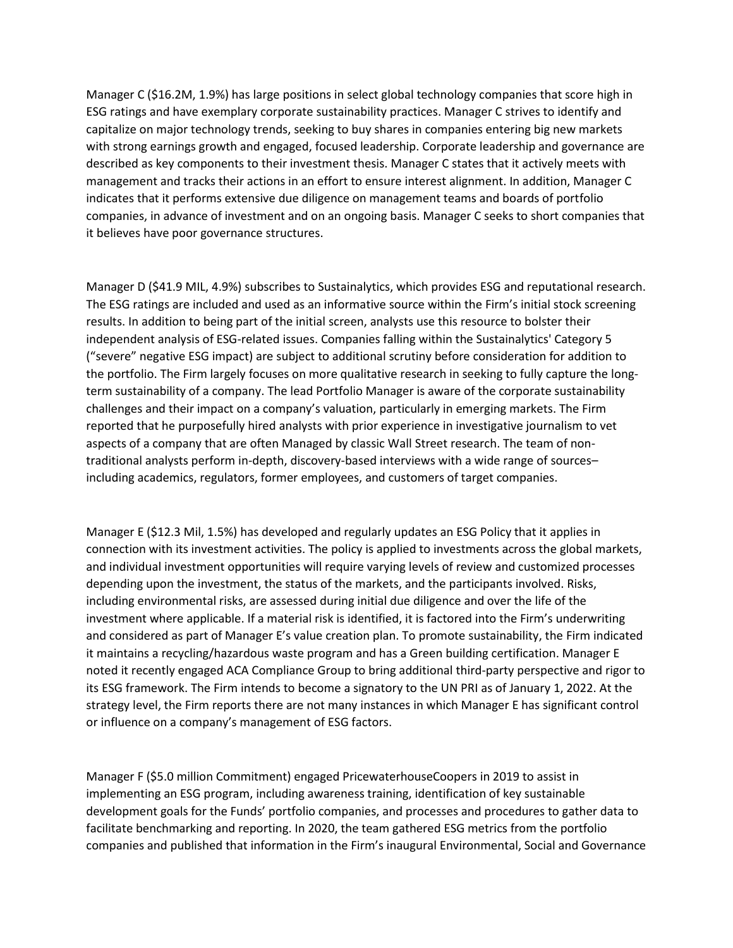Manager C (\$16.2M, 1.9%) has large positions in select global technology companies that score high in ESG ratings and have exemplary corporate sustainability practices. Manager C strives to identify and capitalize on major technology trends, seeking to buy shares in companies entering big new markets with strong earnings growth and engaged, focused leadership. Corporate leadership and governance are described as key components to their investment thesis. Manager C states that it actively meets with management and tracks their actions in an effort to ensure interest alignment. In addition, Manager C indicates that it performs extensive due diligence on management teams and boards of portfolio companies, in advance of investment and on an ongoing basis. Manager C seeks to short companies that it believes have poor governance structures.

Manager D (\$41.9 MIL, 4.9%) subscribes to Sustainalytics, which provides ESG and reputational research. The ESG ratings are included and used as an informative source within the Firm's initial stock screening results. In addition to being part of the initial screen, analysts use this resource to bolster their independent analysis of ESG-related issues. Companies falling within the Sustainalytics' Category 5 ("severe" negative ESG impact) are subject to additional scrutiny before consideration for addition to the portfolio. The Firm largely focuses on more qualitative research in seeking to fully capture the longterm sustainability of a company. The lead Portfolio Manager is aware of the corporate sustainability challenges and their impact on a company's valuation, particularly in emerging markets. The Firm reported that he purposefully hired analysts with prior experience in investigative journalism to vet aspects of a company that are often Managed by classic Wall Street research. The team of nontraditional analysts perform in-depth, discovery-based interviews with a wide range of sources– including academics, regulators, former employees, and customers of target companies.

Manager E (\$12.3 Mil, 1.5%) has developed and regularly updates an ESG Policy that it applies in connection with its investment activities. The policy is applied to investments across the global markets, and individual investment opportunities will require varying levels of review and customized processes depending upon the investment, the status of the markets, and the participants involved. Risks, including environmental risks, are assessed during initial due diligence and over the life of the investment where applicable. If a material risk is identified, it is factored into the Firm's underwriting and considered as part of Manager E's value creation plan. To promote sustainability, the Firm indicated it maintains a recycling/hazardous waste program and has a Green building certification. Manager E noted it recently engaged ACA Compliance Group to bring additional third-party perspective and rigor to its ESG framework. The Firm intends to become a signatory to the UN PRI as of January 1, 2022. At the strategy level, the Firm reports there are not many instances in which Manager E has significant control or influence on a company's management of ESG factors.

Manager F (\$5.0 million Commitment) engaged PricewaterhouseCoopers in 2019 to assist in implementing an ESG program, including awareness training, identification of key sustainable development goals for the Funds' portfolio companies, and processes and procedures to gather data to facilitate benchmarking and reporting. In 2020, the team gathered ESG metrics from the portfolio companies and published that information in the Firm's inaugural Environmental, Social and Governance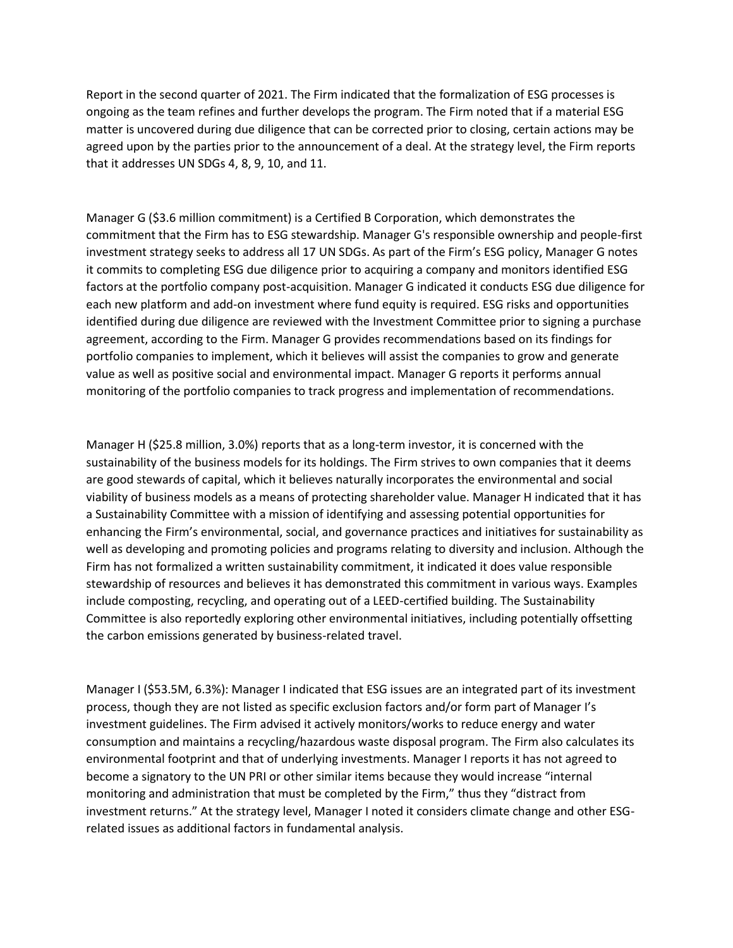Report in the second quarter of 2021. The Firm indicated that the formalization of ESG processes is ongoing as the team refines and further develops the program. The Firm noted that if a material ESG matter is uncovered during due diligence that can be corrected prior to closing, certain actions may be agreed upon by the parties prior to the announcement of a deal. At the strategy level, the Firm reports that it addresses UN SDGs 4, 8, 9, 10, and 11.

Manager G (\$3.6 million commitment) is a Certified B Corporation, which demonstrates the commitment that the Firm has to ESG stewardship. Manager G's responsible ownership and people-first investment strategy seeks to address all 17 UN SDGs. As part of the Firm's ESG policy, Manager G notes it commits to completing ESG due diligence prior to acquiring a company and monitors identified ESG factors at the portfolio company post-acquisition. Manager G indicated it conducts ESG due diligence for each new platform and add-on investment where fund equity is required. ESG risks and opportunities identified during due diligence are reviewed with the Investment Committee prior to signing a purchase agreement, according to the Firm. Manager G provides recommendations based on its findings for portfolio companies to implement, which it believes will assist the companies to grow and generate value as well as positive social and environmental impact. Manager G reports it performs annual monitoring of the portfolio companies to track progress and implementation of recommendations.

Manager H (\$25.8 million, 3.0%) reports that as a long-term investor, it is concerned with the sustainability of the business models for its holdings. The Firm strives to own companies that it deems are good stewards of capital, which it believes naturally incorporates the environmental and social viability of business models as a means of protecting shareholder value. Manager H indicated that it has a Sustainability Committee with a mission of identifying and assessing potential opportunities for enhancing the Firm's environmental, social, and governance practices and initiatives for sustainability as well as developing and promoting policies and programs relating to diversity and inclusion. Although the Firm has not formalized a written sustainability commitment, it indicated it does value responsible stewardship of resources and believes it has demonstrated this commitment in various ways. Examples include composting, recycling, and operating out of a LEED-certified building. The Sustainability Committee is also reportedly exploring other environmental initiatives, including potentially offsetting the carbon emissions generated by business-related travel.

Manager I (\$53.5M, 6.3%): Manager I indicated that ESG issues are an integrated part of its investment process, though they are not listed as specific exclusion factors and/or form part of Manager I's investment guidelines. The Firm advised it actively monitors/works to reduce energy and water consumption and maintains a recycling/hazardous waste disposal program. The Firm also calculates its environmental footprint and that of underlying investments. Manager I reports it has not agreed to become a signatory to the UN PRI or other similar items because they would increase "internal monitoring and administration that must be completed by the Firm," thus they "distract from investment returns." At the strategy level, Manager I noted it considers climate change and other ESGrelated issues as additional factors in fundamental analysis.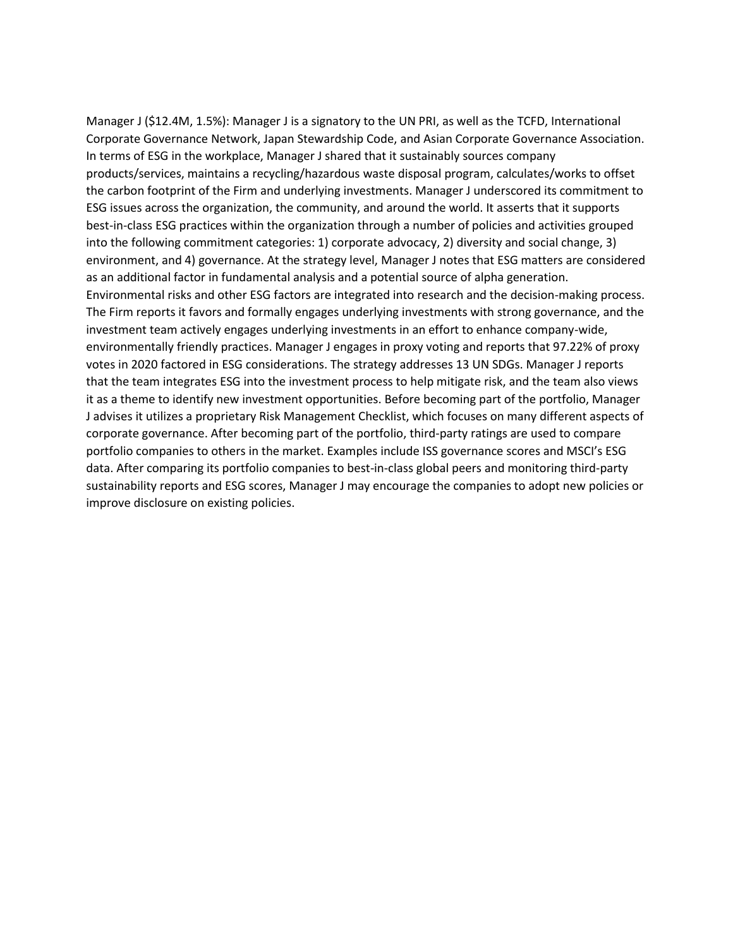Manager J (\$12.4M, 1.5%): Manager J is a signatory to the UN PRI, as well as the TCFD, International Corporate Governance Network, Japan Stewardship Code, and Asian Corporate Governance Association. In terms of ESG in the workplace, Manager J shared that it sustainably sources company products/services, maintains a recycling/hazardous waste disposal program, calculates/works to offset the carbon footprint of the Firm and underlying investments. Manager J underscored its commitment to ESG issues across the organization, the community, and around the world. It asserts that it supports best-in-class ESG practices within the organization through a number of policies and activities grouped into the following commitment categories: 1) corporate advocacy, 2) diversity and social change, 3) environment, and 4) governance. At the strategy level, Manager J notes that ESG matters are considered as an additional factor in fundamental analysis and a potential source of alpha generation. Environmental risks and other ESG factors are integrated into research and the decision-making process. The Firm reports it favors and formally engages underlying investments with strong governance, and the investment team actively engages underlying investments in an effort to enhance company-wide, environmentally friendly practices. Manager J engages in proxy voting and reports that 97.22% of proxy votes in 2020 factored in ESG considerations. The strategy addresses 13 UN SDGs. Manager J reports that the team integrates ESG into the investment process to help mitigate risk, and the team also views it as a theme to identify new investment opportunities. Before becoming part of the portfolio, Manager J advises it utilizes a proprietary Risk Management Checklist, which focuses on many different aspects of corporate governance. After becoming part of the portfolio, third-party ratings are used to compare portfolio companies to others in the market. Examples include ISS governance scores and MSCI's ESG data. After comparing its portfolio companies to best-in-class global peers and monitoring third-party sustainability reports and ESG scores, Manager J may encourage the companies to adopt new policies or improve disclosure on existing policies.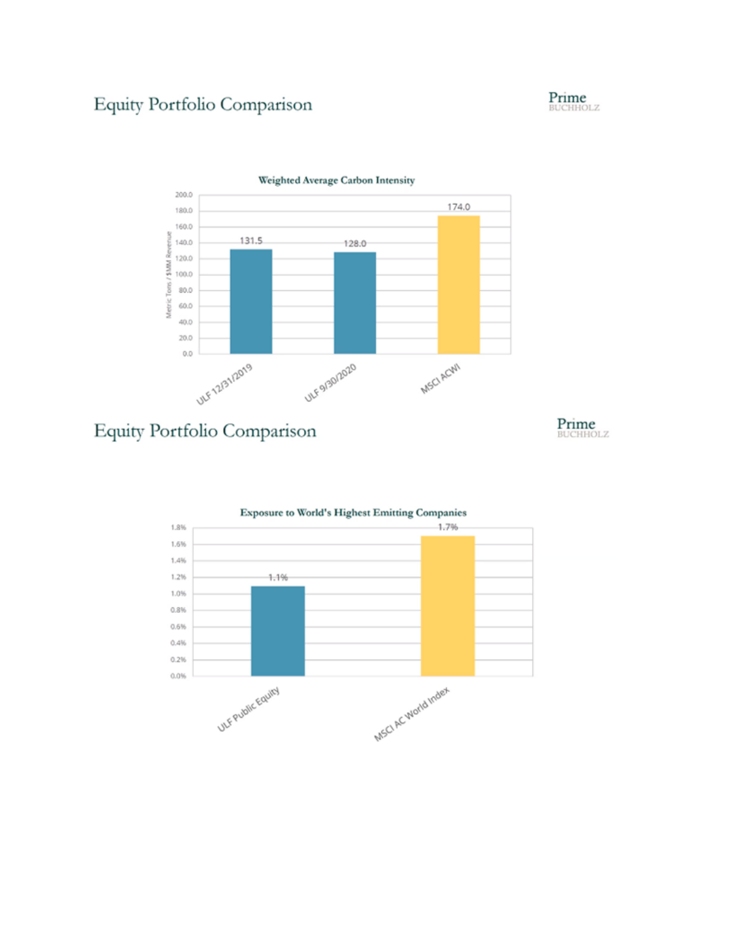## Equity Portfolio Comparison





Equity Portfolio Comparison